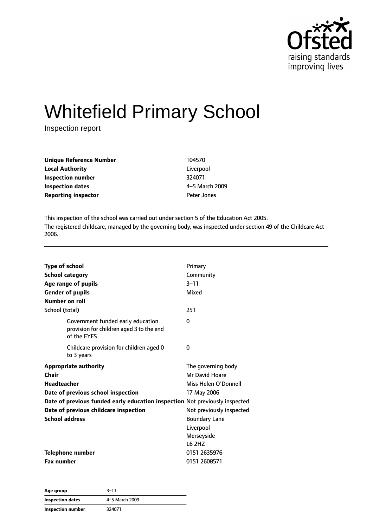

# Whitefield Primary School

Inspection report

| Unique Reference Number    | 104570         |
|----------------------------|----------------|
| Local Authority            | Liverpool      |
| Inspection number          | 324071         |
| <b>Inspection dates</b>    | 4-5 March 2009 |
| <b>Reporting inspector</b> | Peter Jones    |
|                            |                |

This inspection of the school was carried out under section 5 of the Education Act 2005. The registered childcare, managed by the governing body, was inspected under section 49 of the Childcare Act 2006.

| <b>Type of school</b><br><b>School category</b><br>Age range of pupils<br><b>Gender of pupils</b><br>Number on roll | Primary<br>Community<br>$3 - 11$<br>Mixed |
|---------------------------------------------------------------------------------------------------------------------|-------------------------------------------|
| School (total)                                                                                                      | 251                                       |
| Government funded early education<br>provision for children aged 3 to the end<br>of the EYFS                        | $\Omega$                                  |
| Childcare provision for children aged 0<br>to 3 years                                                               | 0                                         |
| <b>Appropriate authority</b>                                                                                        | The governing body                        |
| Chair                                                                                                               | Mr David Hoare                            |
| <b>Headteacher</b>                                                                                                  | Miss Helen O'Donnell                      |
| Date of previous school inspection                                                                                  | 17 May 2006                               |
| Date of previous funded early education inspection Not previously inspected                                         |                                           |
| Date of previous childcare inspection                                                                               | Not previously inspected                  |
| <b>School address</b>                                                                                               | <b>Boundary Lane</b>                      |
|                                                                                                                     | Liverpool                                 |
|                                                                                                                     | Merseyside                                |
|                                                                                                                     | L6 2HZ                                    |
| <b>Telephone number</b>                                                                                             | 0151 2635976                              |
| <b>Fax number</b>                                                                                                   | 0151 2608571                              |

| Age group         | $3 - 11$       |
|-------------------|----------------|
| Inspection dates  | 4-5 March 2009 |
| Inspection number | 324071         |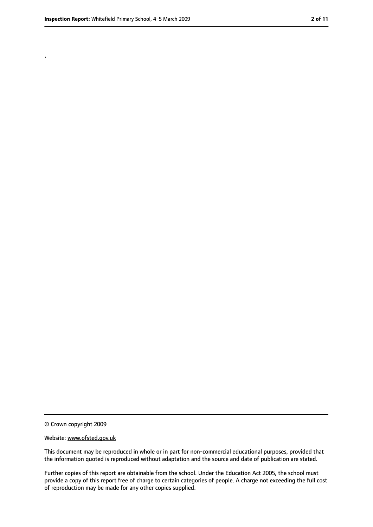.

<sup>©</sup> Crown copyright 2009

Website: www.ofsted.gov.uk

This document may be reproduced in whole or in part for non-commercial educational purposes, provided that the information quoted is reproduced without adaptation and the source and date of publication are stated.

Further copies of this report are obtainable from the school. Under the Education Act 2005, the school must provide a copy of this report free of charge to certain categories of people. A charge not exceeding the full cost of reproduction may be made for any other copies supplied.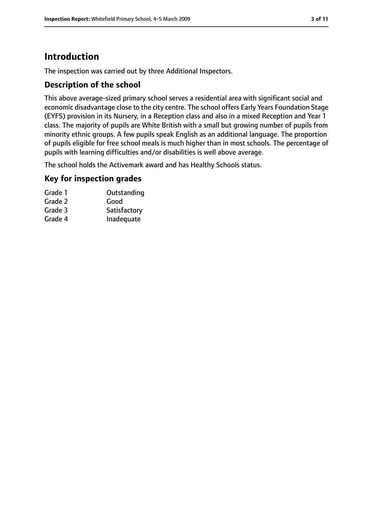# **Introduction**

The inspection was carried out by three Additional Inspectors.

#### **Description of the school**

This above average-sized primary school serves a residential area with significant social and economic disadvantage close to the city centre. The school offers Early Years Foundation Stage (EYFS) provision in its Nursery, in a Reception class and also in a mixed Reception and Year 1 class. The majority of pupils are White British with a small but growing number of pupils from minority ethnic groups. A few pupils speak English as an additional language. The proportion of pupils eligible for free school meals is much higher than in most schools. The percentage of pupils with learning difficulties and/or disabilities is well above average.

The school holds the Activemark award and has Healthy Schools status.

#### **Key for inspection grades**

| Outstanding  |
|--------------|
| Good         |
| Satisfactory |
| Inadequate   |
|              |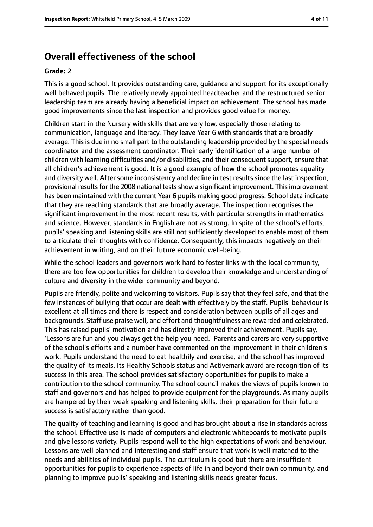## **Overall effectiveness of the school**

#### **Grade: 2**

This is a good school. It provides outstanding care, guidance and support for its exceptionally well behaved pupils. The relatively newly appointed headteacher and the restructured senior leadership team are already having a beneficial impact on achievement. The school has made good improvements since the last inspection and provides good value for money.

Children start in the Nursery with skills that are very low, especially those relating to communication, language and literacy. They leave Year 6 with standards that are broadly average. This is due in no small part to the outstanding leadership provided by the special needs coordinator and the assessment coordinator. Their early identification of a large number of children with learning difficulties and/or disabilities, and their consequent support, ensure that all children's achievement is good. It is a good example of how the school promotes equality and diversity well. After some inconsistency and decline in test results since the last inspection, provisional results for the 2008 national tests show a significant improvement. This improvement has been maintained with the current Year 6 pupils making good progress. School data indicate that they are reaching standards that are broadly average. The inspection recognises the significant improvement in the most recent results, with particular strengths in mathematics and science. However, standards in English are not as strong. In spite of the school's efforts, pupils' speaking and listening skills are still not sufficiently developed to enable most of them to articulate their thoughts with confidence. Consequently, this impacts negatively on their achievement in writing, and on their future economic well-being.

While the school leaders and governors work hard to foster links with the local community, there are too few opportunities for children to develop their knowledge and understanding of culture and diversity in the wider community and beyond.

Pupils are friendly, polite and welcoming to visitors. Pupils say that they feel safe, and that the few instances of bullying that occur are dealt with effectively by the staff. Pupils' behaviour is excellent at all times and there is respect and consideration between pupils of all ages and backgrounds. Staff use praise well, and effort and thoughtfulness are rewarded and celebrated. This has raised pupils' motivation and has directly improved their achievement. Pupils say, 'Lessons are fun and you always get the help you need.' Parents and carers are very supportive of the school's efforts and a number have commented on the improvement in their children's work. Pupils understand the need to eat healthily and exercise, and the school has improved the quality of its meals. Its Healthy Schools status and Activemark award are recognition of its success in this area. The school provides satisfactory opportunities for pupils to make a contribution to the school community. The school council makes the views of pupils known to staff and governors and has helped to provide equipment for the playgrounds. As many pupils are hampered by their weak speaking and listening skills, their preparation for their future success is satisfactory rather than good.

The quality of teaching and learning is good and has brought about a rise in standards across the school. Effective use is made of computers and electronic whiteboards to motivate pupils and give lessons variety. Pupils respond well to the high expectations of work and behaviour. Lessons are well planned and interesting and staff ensure that work is well matched to the needs and abilities of individual pupils. The curriculum is good but there are insufficient opportunities for pupils to experience aspects of life in and beyond their own community, and planning to improve pupils' speaking and listening skills needs greater focus.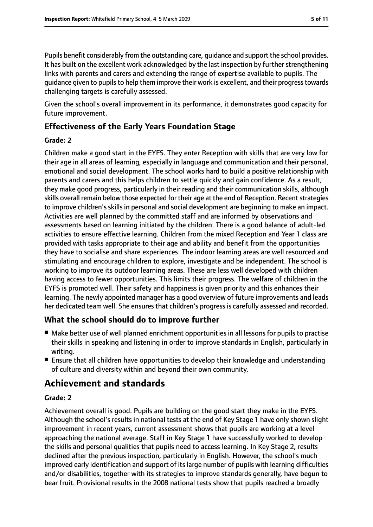Pupils benefit considerably from the outstanding care, guidance and support the school provides. It has built on the excellent work acknowledged by the last inspection by further strengthening links with parents and carers and extending the range of expertise available to pupils. The guidance given to pupils to help them improve their work is excellent, and their progress towards challenging targets is carefully assessed.

Given the school's overall improvement in its performance, it demonstrates good capacity for future improvement.

## **Effectiveness of the Early Years Foundation Stage**

#### **Grade: 2**

Children make a good start in the EYFS. They enter Reception with skills that are very low for their age in all areas of learning, especially in language and communication and their personal, emotional and social development. The school works hard to build a positive relationship with parents and carers and this helps children to settle quickly and gain confidence. As a result, they make good progress, particularly in their reading and their communication skills, although skills overall remain below those expected for their age at the end of Reception. Recent strategies to improve children'sskillsin personal and social development are beginning to make an impact. Activities are well planned by the committed staff and are informed by observations and assessments based on learning initiated by the children. There is a good balance of adult-led activities to ensure effective learning. Children from the mixed Reception and Year 1 class are provided with tasks appropriate to their age and ability and benefit from the opportunities they have to socialise and share experiences. The indoor learning areas are well resourced and stimulating and encourage children to explore, investigate and be independent. The school is working to improve its outdoor learning areas. These are less well developed with children having access to fewer opportunities. This limits their progress. The welfare of children in the EYFS is promoted well. Their safety and happiness is given priority and this enhances their learning. The newly appointed manager has a good overview of future improvements and leads her dedicated team well. She ensures that children's progress is carefully assessed and recorded.

### **What the school should do to improve further**

- Make better use of well planned enrichment opportunities in all lessons for pupils to practise their skills in speaking and listening in order to improve standards in English, particularly in writing.
- Ensure that all children have opportunities to develop their knowledge and understanding of culture and diversity within and beyond their own community.

# **Achievement and standards**

#### **Grade: 2**

Achievement overall is good. Pupils are building on the good start they make in the EYFS. Although the school's results in national tests at the end of Key Stage 1 have only shown slight improvement in recent years, current assessment shows that pupils are working at a level approaching the national average. Staff in Key Stage 1 have successfully worked to develop the skills and personal qualities that pupils need to access learning. In Key Stage 2, results declined after the previous inspection, particularly in English. However, the school's much improved early identification and support of itslarge number of pupils with learning difficulties and/or disabilities, together with its strategies to improve standards generally, have begun to bear fruit. Provisional results in the 2008 national tests show that pupils reached a broadly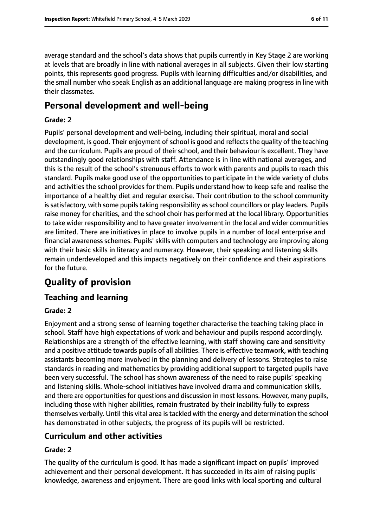average standard and the school's data shows that pupils currently in Key Stage 2 are working at levels that are broadly in line with national averages in all subjects. Given their low starting points, this represents good progress. Pupils with learning difficulties and/or disabilities, and the small number who speak English as an additional language are making progress in line with their classmates.

# **Personal development and well-being**

#### **Grade: 2**

Pupils' personal development and well-being, including their spiritual, moral and social development, is good. Their enjoyment of school is good and reflects the quality of the teaching and the curriculum. Pupils are proud of their school, and their behaviour is excellent. They have outstandingly good relationships with staff. Attendance is in line with national averages, and this is the result of the school's strenuous efforts to work with parents and pupils to reach this standard. Pupils make good use of the opportunities to participate in the wide variety of clubs and activities the school provides for them. Pupils understand how to keep safe and realise the importance of a healthy diet and regular exercise. Their contribution to the school community is satisfactory, with some pupils taking responsibility as school councillors or play leaders. Pupils raise money for charities, and the school choir has performed at the local library. Opportunities to take wider responsibility and to have greater involvement in the local and wider communities are limited. There are initiatives in place to involve pupils in a number of local enterprise and financial awareness schemes. Pupils' skills with computers and technology are improving along with their basic skills in literacy and numeracy. However, their speaking and listening skills remain underdeveloped and this impacts negatively on their confidence and their aspirations for the future.

# **Quality of provision**

#### **Teaching and learning**

#### **Grade: 2**

Enjoyment and a strong sense of learning together characterise the teaching taking place in school. Staff have high expectations of work and behaviour and pupils respond accordingly. Relationships are a strength of the effective learning, with staff showing care and sensitivity and a positive attitude towards pupils of all abilities. There is effective teamwork, with teaching assistants becoming more involved in the planning and delivery of lessons. Strategies to raise standards in reading and mathematics by providing additional support to targeted pupils have been very successful. The school has shown awareness of the need to raise pupils' speaking and listening skills. Whole-school initiatives have involved drama and communication skills, and there are opportunities for questions and discussion in most lessons. However, many pupils, including those with higher abilities, remain frustrated by their inability fully to express themselves verbally. Until this vital area is tackled with the energy and determination the school has demonstrated in other subjects, the progress of its pupils will be restricted.

#### **Curriculum and other activities**

#### **Grade: 2**

The quality of the curriculum is good. It has made a significant impact on pupils' improved achievement and their personal development. It has succeeded in its aim of raising pupils' knowledge, awareness and enjoyment. There are good links with local sporting and cultural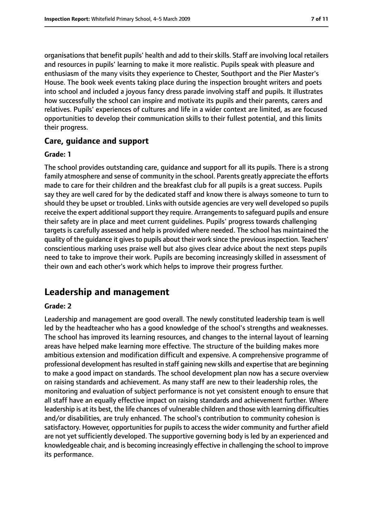organisations that benefit pupils' health and add to their skills. Staff are involving local retailers and resources in pupils' learning to make it more realistic. Pupils speak with pleasure and enthusiasm of the many visits they experience to Chester, Southport and the Pier Master's House. The book week events taking place during the inspection brought writers and poets into school and included a joyous fancy dress parade involving staff and pupils. It illustrates how successfully the school can inspire and motivate its pupils and their parents, carers and relatives. Pupils' experiences of cultures and life in a wider context are limited, as are focused opportunities to develop their communication skills to their fullest potential, and this limits their progress.

#### **Care, guidance and support**

#### **Grade: 1**

The school provides outstanding care, guidance and support for all its pupils. There is a strong family atmosphere and sense of community in the school. Parents greatly appreciate the efforts made to care for their children and the breakfast club for all pupils is a great success. Pupils say they are well cared for by the dedicated staff and know there is always someone to turn to should they be upset or troubled. Links with outside agencies are very well developed so pupils receive the expert additional support they require. Arrangements to safeguard pupils and ensure their safety are in place and meet current guidelines. Pupils' progress towards challenging targets is carefully assessed and help is provided where needed. The school has maintained the quality of the quidance it gives to pupils about their work since the previous inspection. Teachers' conscientious marking uses praise well but also gives clear advice about the next steps pupils need to take to improve their work. Pupils are becoming increasingly skilled in assessment of their own and each other's work which helps to improve their progress further.

# **Leadership and management**

#### **Grade: 2**

Leadership and management are good overall. The newly constituted leadership team is well led by the headteacher who has a good knowledge of the school's strengths and weaknesses. The school has improved its learning resources, and changes to the internal layout of learning areas have helped make learning more effective. The structure of the building makes more ambitious extension and modification difficult and expensive. A comprehensive programme of professional development hasresulted in staff gaining new skills and expertise that are beginning to make a good impact on standards. The school development plan now has a secure overview on raising standards and achievement. As many staff are new to their leadership roles, the monitoring and evaluation of subject performance is not yet consistent enough to ensure that all staff have an equally effective impact on raising standards and achievement further. Where leadership is at its best, the life chances of vulnerable children and those with learning difficulties and/or disabilities, are truly enhanced. The school's contribution to community cohesion is satisfactory. However, opportunities for pupils to access the wider community and further afield are not yet sufficiently developed. The supportive governing body is led by an experienced and knowledgeable chair, and is becoming increasingly effective in challenging the school to improve its performance.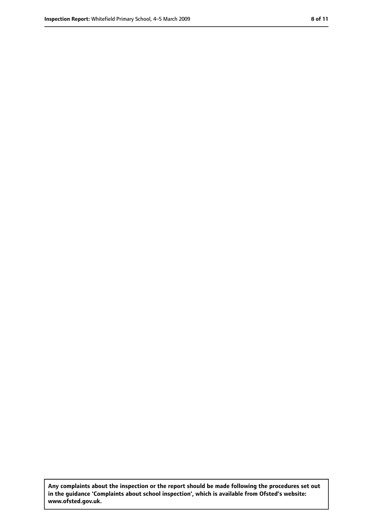**Any complaints about the inspection or the report should be made following the procedures set out in the guidance 'Complaints about school inspection', which is available from Ofsted's website: www.ofsted.gov.uk.**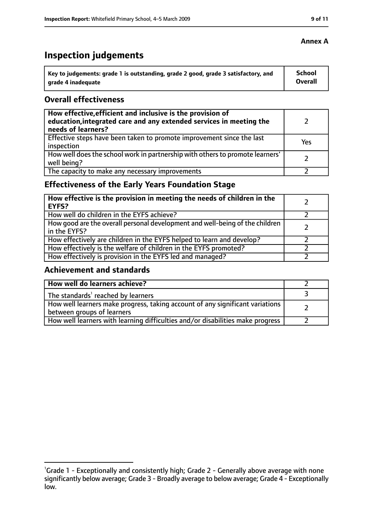# **Inspection judgements**

| ˈ Key to judgements: grade 1 is outstanding, grade 2 good, grade 3 satisfactory, and | <b>School</b>  |
|--------------------------------------------------------------------------------------|----------------|
| arade 4 inadequate                                                                   | <b>Overall</b> |

#### **Overall effectiveness**

| How effective, efficient and inclusive is the provision of<br>education, integrated care and any extended services in meeting the<br>needs of learners? |     |
|---------------------------------------------------------------------------------------------------------------------------------------------------------|-----|
| Effective steps have been taken to promote improvement since the last<br>inspection                                                                     | Yes |
| How well does the school work in partnership with others to promote learners'<br>well being?                                                            |     |
| The capacity to make any necessary improvements                                                                                                         |     |

# **Effectiveness of the Early Years Foundation Stage**

| How effective is the provision in meeting the needs of children in the<br>l EYFS?            |  |
|----------------------------------------------------------------------------------------------|--|
| How well do children in the EYFS achieve?                                                    |  |
| How good are the overall personal development and well-being of the children<br>in the EYFS? |  |
| How effectively are children in the EYFS helped to learn and develop?                        |  |
| How effectively is the welfare of children in the EYFS promoted?                             |  |
| How effectively is provision in the EYFS led and managed?                                    |  |

#### **Achievement and standards**

| How well do learners achieve?                                                  |  |
|--------------------------------------------------------------------------------|--|
| $\vert$ The standards <sup>1</sup> reached by learners                         |  |
| How well learners make progress, taking account of any significant variations  |  |
| between groups of learners                                                     |  |
| How well learners with learning difficulties and/or disabilities make progress |  |

#### **Annex A**

<sup>&</sup>lt;sup>1</sup>Grade 1 - Exceptionally and consistently high; Grade 2 - Generally above average with none significantly below average; Grade 3 - Broadly average to below average; Grade 4 - Exceptionally low.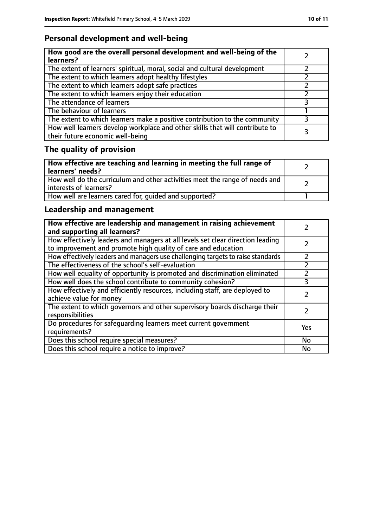# **Personal development and well-being**

| How good are the overall personal development and well-being of the<br>learners?                                 |  |
|------------------------------------------------------------------------------------------------------------------|--|
| The extent of learners' spiritual, moral, social and cultural development                                        |  |
| The extent to which learners adopt healthy lifestyles                                                            |  |
| The extent to which learners adopt safe practices                                                                |  |
| The extent to which learners enjoy their education                                                               |  |
| The attendance of learners                                                                                       |  |
| The behaviour of learners                                                                                        |  |
| The extent to which learners make a positive contribution to the community                                       |  |
| How well learners develop workplace and other skills that will contribute to<br>their future economic well-being |  |

# **The quality of provision**

| How effective are teaching and learning in meeting the full range of<br>learners' needs?              |  |
|-------------------------------------------------------------------------------------------------------|--|
| How well do the curriculum and other activities meet the range of needs and<br>interests of learners? |  |
| How well are learners cared for, quided and supported?                                                |  |

# **Leadership and management**

| How effective are leadership and management in raising achievement<br>and supporting all learners?                                              |     |
|-------------------------------------------------------------------------------------------------------------------------------------------------|-----|
| How effectively leaders and managers at all levels set clear direction leading<br>to improvement and promote high quality of care and education |     |
| How effectively leaders and managers use challenging targets to raise standards                                                                 |     |
| The effectiveness of the school's self-evaluation                                                                                               |     |
| How well equality of opportunity is promoted and discrimination eliminated                                                                      |     |
| How well does the school contribute to community cohesion?                                                                                      | 3   |
| How effectively and efficiently resources, including staff, are deployed to<br>achieve value for money                                          |     |
| The extent to which governors and other supervisory boards discharge their<br>responsibilities                                                  |     |
| Do procedures for safeguarding learners meet current government<br>requirements?                                                                | Yes |
| Does this school require special measures?                                                                                                      | No  |
| Does this school require a notice to improve?                                                                                                   | No  |